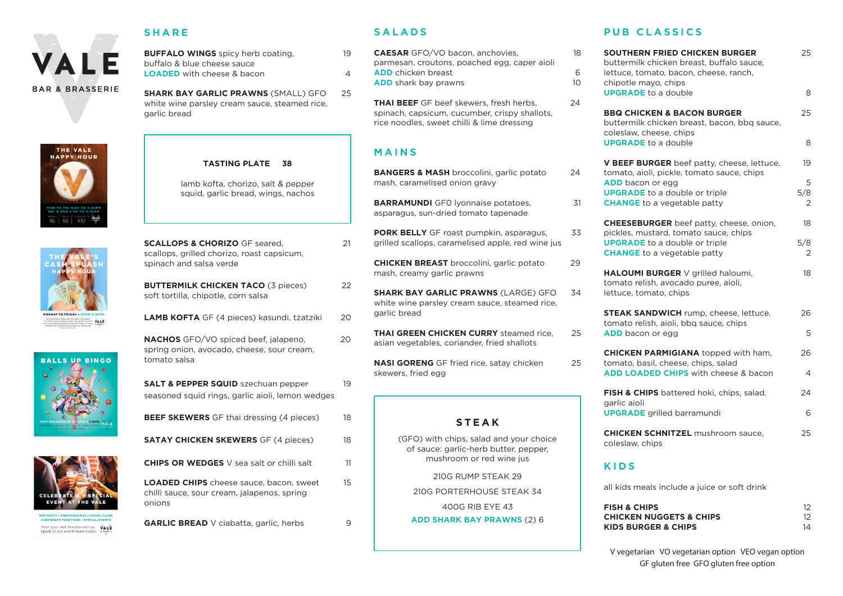

### **SHARE**

**BUFFALO WINGS** spicy herb coating, 19 buffalo & blue cheese sauce **LOADED** with

**SHARK BAY GARLIC PRAWNS** (SMALL) GFO 25 white wine parsley cream sauce, steamed rice, garlic bread









Host your next function with us. VALE Speak to our events team today!

| <b>ARLIC PRAWNS</b> (SMALL) GFO | 25 |
|---------------------------------|----|
| cheese & bacon                  |    |
| cheese sauce.                   |    |

#### **TASTING PLATE 38**

lamb kofta, chorizo, salt & pepper squid, garlic bread, wings, nachos



**BUTTERMILK CHICKEN TACO (3 pieces) 22** soft tortilla, chipotle, corn salsa

**LAMB KOFTA** GF (4 pieces) kasundi, tzatziki 20

**NACHOS** GFO/VO spiced beef, jalapeno, 20 spring onion, avocado, cheese, sour cream, tomato salsa

| <b>SALT &amp; PEPPER SQUID</b> szechuan pepper   |  |
|--------------------------------------------------|--|
| seasoned squid rings, garlic aioli, lemon wedges |  |

| <b>BEEF SKEWERS</b> GF thai dressing (4 pieces)  | 18 |
|--------------------------------------------------|----|
| <b>SATAY CHICKEN SKEWERS</b> GF (4 pieces)       | 18 |
| <b>CHIPS OR WEDGES</b> V sea salt or chilli salt | 11 |
|                                                  |    |

**LOADED CHIPS** cheese sauce, bacon, sweet 15 chilli sauce, sour cream, jalapenos, spring onions

**GARLIC BREAD** V ciabatta, garlic, herbs 9

# **SALADS**

**CAESAR** GFO/VO bacon, anchovies, 18 parmesan, croutons, poached egg, caper aioli **ADD** chicken breast 6 **ADD** shark bay prawns 10

**THAI BEEF** GF beef skewers, fresh herbs, 24 spinach, capsicum, cucumber, crispy shallots, rice noodles, sweet chilli & lime dressing

# **MAINS**

| <b>STEAK</b>                                                                                                |    |
|-------------------------------------------------------------------------------------------------------------|----|
| <b>NASI GORENG</b> GF fried rice, satay chicken<br>skewers, fried egg                                       | 25 |
| <b>THAI GREEN CHICKEN CURRY</b> steamed rice,<br>asian vegetables, coriander, fried shallots                | 25 |
| <b>SHARK BAY GARLIC PRAWNS (LARGE) GFO</b><br>white wine parsley cream sauce, steamed rice,<br>garlic bread | 34 |
| <b>CHICKEN BREAST</b> broccolini, garlic potato<br>mash, creamy garlic prawns                               | 29 |
| <b>PORK BELLY</b> GF roast pumpkin, asparagus,<br>grilled scallops, caramelised apple, red wine jus         | 33 |
| <b>BARRAMUNDI</b> GFO lyonnaise potatoes,<br>asparagus, sun-dried tomato tapenade                           | 31 |
| <b>BANGERS &amp; MASH</b> broccolini, garlic potato<br>mash, caramelised onion gravy                        | 24 |

(GFO) with chips, salad and your choice of sauce: garlic-herb butter, pepper, mushroom or red wine jus

210G RUMP STEAK 29

210G PORTERHOUSE STEAK 34

400G RIB EYE 43

**ADD SHARK BAY PRAWNS** (2) 6

### **PUB CLASSICS**

| SOUTHERN FRIED CHICKEN BURGER<br>buttermilk chicken breast, buffalo sauce,<br>lettuce, tomato, bacon, cheese, ranch,<br>chipotle mayo, chips | 25                                           |
|----------------------------------------------------------------------------------------------------------------------------------------------|----------------------------------------------|
| <b>UPGRADE</b> to a double                                                                                                                   | 8                                            |
| <b>BBQ CHICKEN &amp; BACON BURGER</b><br>buttermilk chicken breast, bacon, bbq sauce,<br>coleslaw, cheese, chips                             | 25                                           |
| <b>UPGRADE</b> to a double                                                                                                                   | 8                                            |
| V BEEF BURGER beef patty, cheese, lettuce,<br>tomato, aioli, pickle, tomato sauce, chips                                                     | 19                                           |
| <b>ADD</b> bacon or egg<br><b>UPGRADE</b> to a double or triple<br><b>CHANGE</b> to a vegetable patty                                        | 5<br>5/8<br>2                                |
| <b>CHEESEBURGER</b> beef patty, cheese, onion,<br>pickles, mustard, tomato sauce, chips                                                      | 18                                           |
| <b>UPGRADE</b> to a double or triple<br><b>CHANGE</b> to a vegetable patty                                                                   | 5/8<br>2                                     |
| HALOUMI BURGER V grilled haloumi,<br>tomato relish, avocado puree, aioli,<br>lettuce, tomato, chips                                          | 18                                           |
| <b>STEAK SANDWICH</b> rump, cheese, lettuce,<br>tomato relish, aioli, bbg sauce, chips<br><b>ADD</b> bacon or egg                            | 26<br>5                                      |
| <b>CHICKEN PARMIGIANA</b> topped with ham,                                                                                                   | 26                                           |
| tomato, basil, cheese, chips, salad<br><b>ADD LOADED CHIPS</b> with cheese & bacon                                                           | 4                                            |
| FISH & CHIPS battered hoki, chips, salad,<br>garlic aioli                                                                                    | 24                                           |
| <b>UPGRADE</b> grilled barramundi                                                                                                            | 6                                            |
| <b>CHICKEN SCHNITZEL</b> mushroom sauce,<br>coleslaw, chips                                                                                  | 25                                           |
| KIDS                                                                                                                                         |                                              |
| all kids meals include a juice or soft drink                                                                                                 |                                              |
| <b>FISH &amp; CHIPS</b><br><b>CHICKEN NUGGETS &amp; CHIPS</b><br><b>KIDS BURGER &amp; CHIPS</b>                                              | $12 \overline{ }$<br>$12 \overline{ }$<br>14 |

V vegetarian VO vegetarian option VEO vegan option GF gluten free GFO gluten free option